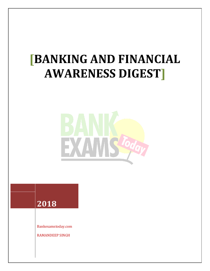# **[BANKING AND FINANCIAL AWARENESS DIGEST]**





Bankexamstoday.com

RAMANDEEP SINGH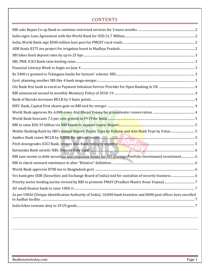### **CONTENTS**

| Mobile Banking Rank by SBI's Annual Report: Paytm Tops by Volume and Axis Bank Tops by Value5                     |  |
|-------------------------------------------------------------------------------------------------------------------|--|
|                                                                                                                   |  |
|                                                                                                                   |  |
|                                                                                                                   |  |
| RBI ease norms in debt securities and corporate bonds for FPI (Foreign Portfolio Investment) investment 6         |  |
|                                                                                                                   |  |
|                                                                                                                   |  |
| Yes bank gets SEBI (Securities and Exchange Board of India) nod for custodian of security business  6             |  |
|                                                                                                                   |  |
|                                                                                                                   |  |
| As per UIDAI (Unique Identification Authority of India), 10,000 bank branches and 8000 post offices have enrolled |  |
|                                                                                                                   |  |
|                                                                                                                   |  |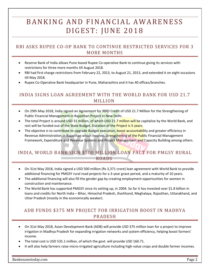# BANKING AND FINANCIAL AWARENESS D I G E S T: J U N E 2018

#### <span id="page-2-0"></span>RBI ASKS RUPEE CO-OP BANK TO CONTINUE RESTRICTED SERVICES FOR 3 MORE MONTHS

- Reserve Bank of India allows Pune-based Rupee Co-operative Bank to continue giving its services with restrictions for three more months till August 2018.
- RBI had first charge restrictions from February 22, 2013, to August 21, 2013, and extended it on eight occasions till May 2018.
- Rupee Co-Operative Bank headquarter in Pune, Maharashtra and it has 40 offices/branches.

#### <span id="page-2-1"></span>INDIA SIGNS LOAN AGREEMENT WITH THE WORLD BANK FOR USD 21.7 MILLION

- On 29th May 2018, India signed an Agreement for IBRD Credit of USD 21.7 Million for the Strengthening of Public Financial Management in Rajasthan Project in New Delhi.
- The total Project is around USD 31 million, of which USD 21.7 million will be capitalize by the World Bank, and rest will be funded-out of the State Budget. Duration of the Project is 5 years.
- The objective is to contribute to upgrade Budget execution, boost accountability and greater efficiency in Revenue Administration in Rajasthan which involves Strengthening of the Public Financial Management Framework, Expenditure and Revenue Systems and Project Management and Capacity Building among others.

#### <span id="page-2-2"></span>INDIA, WORLD BANK SIGN \$500 MILLION LOAN PACT FOR PMGSY RURAL ROADS

- On 31st May 2018, India signed a USD 500 million (Rs 3,371 crore) loan agreement with World Bank to provide additional financing for PMGSY rural road projects for a 3-year grace period, and a maturity of 10 years.
- The additional financing will also fill the gender gap by creating employment opportunities for women in construction and maintenance.
- The World Bank has supported PMGSY since its setting up, in 2004. So far it has invested over \$1.8 billion in loans and credits for North India – Bihar, Himachal Pradesh, Jharkhand, Meghalaya, Rajasthan, Uttarakhand, and Uttar Pradesh (mostly in the economically weaker).

#### <span id="page-2-3"></span>ADB FUNDS \$375 MN PROJECT FOR IRRIGATION BOOST IN MADHYA PRADESH

- On 31st May 2018, Asian Development Bank (ADB) will provide USD 375 million loan for a project to improve irrigation in Madhya Pradesh for expanding irrigation networks and system efficiency, helping boost farmers' income.
- The total cost is USD 535.1 million, of which the govt. will provide USD 160.71.
- It will also help farmers raise micro-irrigated agriculture including high-value crops and double farmer incomes.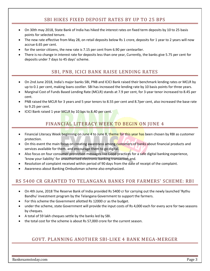#### SBI HIKES FIXED DEPOSIT RATES BY UP TO 25 BPS

- <span id="page-3-0"></span> On 30th may 2018, State Bank of India has hiked the interest rates on fixed term deposits by 10 to 25 basis points for selected tenure.
- The new rate effective from May 28, on retail deposits below Rs 1 crore, deposits for 1 year to 2 years will now accrue 6.65 per cent.
- for the senior citizens, the new rate is 7.15 per cent from 6.90 per centearlier.
- <span id="page-3-1"></span> There is no change in interest rate for deposits less than one year, Currently, the banks give 5.75 per cent for deposits under 7 days to 45 days' scheme.

#### SBI, PNB, ICICI BANK RAISE LENDING RATES

- On 2nd June 2018, India's major banks SBI, PNB and ICICI Bank raised their benchmark lending rates or MCLR by up to 0.1 per cent, making loans costlier. SBI has increased the lending rate by 10 basis points for three years.
- Marginal Cost of Funds Based Lending Rate (MCLR) stands at 7.9 per cent, for 3-year tenor increased to 8.45 per cent.
- PNB raised the MCLR for 3 years and 5 year tenors to 8.55 per cent and 8.7per cent, also increased the base rate to 9.25 per cent.
- <span id="page-3-2"></span>• ICICI Bank raised 1 year MCLR by 10 bps to 8.40 per cent.

# FINANCIAL LITERACY WEEK TO BEGIN ON JUNE 4

- Financial Literacy Week beginning on June 4 to June 8, theme for this year has been chosen by RBI as customer protection.
- On this event the main focus on creating awareness among customers of banks about financial products and services available for them, and encourage them to go digital.
- Also focus on four consumer protection messages like Good practices for a safe digital banking experience, 'know your liability' for unauthorised electronic banking transaction and.
- Resolution of complaint received within period of 90 days from the date of receipt of the complaint.
- Awareness about Banking Ombudsman scheme also emphasized.

#### <span id="page-3-3"></span>RS 5400 CR GRANTED TO TELANGANA BANKS FOR FARMERS' SCHEME: RBI

- On 4th June, 2018 The Reserve Bank of India provided Rs 5400 cr for carrying out the newly launched 'Rythu Bandhu' investment program by the Telangana Government to support the farmers.
- For this scheme the Government allotted Rs 12000 cr as the budget.
- under the scheme, state Government will provide the input costs of Rs 4,000 each for every acre for two seasons by cheques.
- A total of 59 lakh cheques settle by the banks led by SBI.
- <span id="page-3-4"></span>the total cost for the scheme is about Rs 57,000 crore for the current season.

#### GOVT. PLANNING ANOTHER SBI-LIKE 4 BANK MEGA-MERGER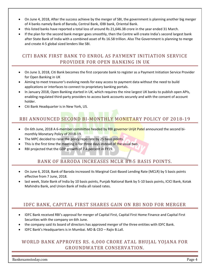- On June 4, 2018, After the success achieve by the merger of SBI, the government is planning another big merger of 4 banks namely Bank of Baroda, Central Bank, IDBI bank, Oriental Bank.
- this listed banks have reported a total loss of around Rs 21,646.38 crore in the year ended 31 March.
- If the plan for the second bank merger goes smoothly, then the Centre will create India's second largest bank after State Bank of India with a combined asset of Rs 16.58 trillion. Also The Government is planning to merge and create 4-5 global sized lenders like SBI.

#### <span id="page-4-0"></span>CITI BANK FIRST BANK TO ENROL AS PAYMENT INITIATION SERVICE PROVIDER FOR OPEN BANKING IN UK

- On June 3, 2018, Citi Bank becomes the first corporate bank to register as a Payment Initiation Service Provider for Open Banking in UK
- Aiming to meet treasurer's evolving needs for easy access to payment data without the need to build applications or interfaces to connect to proprietary banking portals.
- In January 2018, Open Banking started in UK, which requires the nine largest UK banks to publish open APIs, enabling regulated third-party providers to access bank accounts securely and with the consent of account holder.
- Citi Bank Headquarter is in New York, US.

# <span id="page-4-1"></span>RBI ANNOUNCED SECOND BI-MONTHLY MONETARY POLICY OF 2018-19

- On 6th June, 2018 A 6-member committee headed by RBI governor Urijit Patel announced the second bimonthly Monetary Policy of 2018-19.
- The MPC decided to raise the policy repo rate by 25 basis points.
- This is the first time the meeting is for three days instead of the usual two.
- <span id="page-4-2"></span>RBI projected that the GDP growth of 7.4 percent in FY19.

#### BANK OF BARODA INCREASES MCLR BY 5 BASIS POINTS.

- On June 6, 2018, Bank of Baroda increased its Marginal Cost-Based Lending Rate (MCLR) by 5 basis points effective from 7 June, 2018.
- last week, State Bank of India by 10 basis points, Punjab National Bank by 5-10 basis points, ICICI Bank, Kotak Mahindra Bank, and Union Bank of India all raised rates.

#### <span id="page-4-3"></span>IDFC BANK, CAPITAL FIRST SHARES GAIN ON RBI NOD FOR MERGER

- IDFC Bank received RBI's approval for merger of Capital First, Capital First Home Finance and Capital First Securities with the company on 6th June.
- the company said its board of directors has approved merger of the three entities with IDFC Bank.
- IDFC Bank's Headquarters is in Mumbai. MD & CEO Rajiv B.Lall.

#### <span id="page-4-4"></span>WORLD BANK APPROVES RS. 6,000 CRORE ATAL BHUJAL YOJANA FOR GROUNDWATER CONSERVATION.

Bankexamstoday.com **Page 4**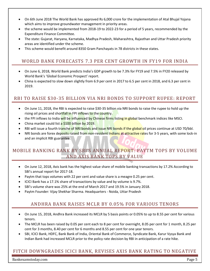- On 6th June 2018 The World Bank has approved Rs 6,000 crore for the implementation of Atal Bhujal Yojana which aims to improve groundwater management in priority areas.
- the scheme would be implemented from 2018-19 to 2022-23 for a period of 5 years, recommended by the Expenditure Finance Committee.
- The state: Gujarat, Haryana, Karnataka, Madhya Pradesh, Maharashtra, Rajasthan and Uttar Pradesh priority areas are identified under the scheme.
- This scheme would benefit around 8350 Gram Panchayats in 78 districts in these states.

#### <span id="page-5-0"></span>WORLD BANK FORECASTS 7.3 PER CENT GROWTH IN FY19 FOR INDIA

- On June 6, 2018, World Bank predicts India's GDP growth to be 7.3% for FY19 and 7.5% in FY20 released by World Bank's 'Global Economic Prospect' report.
- China is expected to slow down slightly from 6.9 per cent in 2017 to 6.5 per cent in 2018, and 6.3 per cent in 2019.

#### <span id="page-5-1"></span>RBI TO RAISE \$30-35 BILLION VIA NRI BONDS TO SUPPORT RUPEE: REPORT

- On June 11, 2018, the RBI is expected to raise \$30-35 billion via NRI bonds to raise the rupee to hold up the rising oil prices and shortfall in FPI inflows to the country.
- the FPI inflows to India will be influenced by Chinese firms listing in global benchmark indices like MSCI.
- China market could list a \$100 billion by 2019.
- RBI will issue a fourth tranche of NRI bonds and issue NRI bonds if the global oil prices continue at USD 70/bbl.
- NRI bonds are forex deposits raised from non-resident Indians at attractive rates for 3-5 years, with some lock-in and an implicit RBI guarantee.

#### <span id="page-5-2"></span>MOBILE BANKING RANK BY SBI'S ANNUAL REPORT: PAYTM TOPS BY VOLUME AND AXIS BANK TOPS BY VALUE

- On June 12, 2018, Axis bank has the highest value share of mobile banking transactions by 17.2% According to SBI's annual report for 2017-18.
- Paytm that tops volumes with 22 per cent and value share is a meagre 0.25 per cent.
- ICICI Bank has a 17.1% share of transactions by value and by volume is 9.7%.
- SBI's volume share was 25% at the end of March 2017 and 19.5% in January 2018.
- <span id="page-5-3"></span>Paytm Founder: Vijay Shekhar Sharma. Headquarters - Noida, Uttar Pradesh

#### ANDHRA BANK RAISES MCLR BY 0.05% FOR VARIOUS TENORS

- On June 15, 2018, Andhra Bank increased its MCLR by 5 basis points or 0.05% to up to 8.55 per cent for various tenors.
- The MCLR has been raised by 0.05 per cent each to 8 per cent for overnight, 8.05 per cent for 1 month, 8.25 per cent for 3 months, 8.40 per cent for 6 months and 8.55 per cent for one year tenors.
- SBI, ICICI Bank, HDFC, Bank Bank of India, Oriental Bank of Commerce, Syndicate Bank, Karur Vysya Bank and Indian Bank had increased MCLR prior to the policy rate decision by RBI in anticipation of a rate hike.

#### <span id="page-5-4"></span>FITCH DOWNGRADES ICICI BANK, REVISES AXIS BANK RATING TO NEGATIVE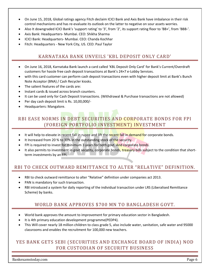- On June 15, 2018, Global ratings agency Fitch declaim ICICI Bank and Axis Bank have imbalance in their risk control mechanisms and has re-evaluate its outlook on the latter to negative on sour assets worries.
- Also It downgraded ICICI Bank's 'support rating' to '3', from '2', its support rating floor to 'BB+', from 'BBB-'.
- Axis Bank: Headquarters- Mumbai. CEO: Shikha Sharma
- ICICI Bank: Headquarters- Mumbai. CEO: Chanda Kochhar
- <span id="page-6-0"></span>Fitch: Headquarters - New York City, US. CEO: Paul Taylor

#### KARNATAKA BANK UNVEILS 'KBL DEPOSIT ONLY CARD'

- On June 16, 2018, Karnataka Bank launch a card called 'KBL Deposit Only Card' for Bank's Current/Overdraft customers for hassle free cash deposit transactions at Bank's 24×7 e-Lobby Services.
- with this card customer can perform cash deposit transactions even with higher deposit limit at Bank's Bunch Note Acceptor (BNA) / Cash Recycler kiosks.
- The salient features of the cards are:
- Instant cards & issued across branch counters.
- It can be used only for Cash Deposit transactions. (Withdrawal & Purchase transactions are not allowed)
- Per day cash deposit limit is Rs. 10,00,000/-
- Headquarters: Mangalore.

# <span id="page-6-1"></span>RBI EASE NORMS IN DEBT SECURITIES AND CORPORATE BONDS FOR FPI (FOREIGN PORTFOLIO INVESTMENT) INVESTMENT

- It will help to elevate in recent fall in rupee and lift the recent fall in demand for corporate bonds.
- It Increased from 20 % to 30% in the outstanding stock of the security.
- FPI is required to invest for minimum 3 years for both govt. And corporate bonds.
- It also permits to investment in govt security, corporate bonds, treasury bills subject to the condition that shortterm investments by an FPI.

#### <span id="page-6-2"></span>RBI TO CHECK OUTWARD REMITTANCE TO ALTER "RELATIVE" DEFINITION.

- RBI to check outward remittance to alter "Relative" definition under companies act 2013.
- PAN is mandatory for such transaction.
- <span id="page-6-3"></span> RBI introduced a system for daily reporting of the individual transaction under LRS (Liberalised Remittance Scheme) by banks.

#### WORLD BANK APPROVES \$700 MN TO BANGLADESH GOVT.

- World bank approves the amount to improvement for primary education sector in Bangladesh.
- It is 4th primary education development programme(PEDP4).
- This Will cover nearly 18 million children to class grade 5, also include water, sanitation, safe water and 95000 classrooms and enables the recruitment for 100,000 new teachers.

#### <span id="page-6-4"></span>YES BANK GETS SEBI (SECURITIES AND EXCHANGE BOARD OF INDIA) NOD FOR CUSTODIAN OF SECURITY BUSINESS

Bankexamstoday.com **Page 6**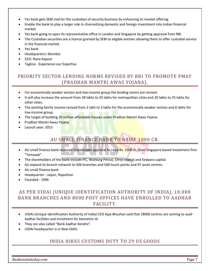- Yes bank gets SEBI nod for the custodian of security business by enhancing its market offering.
- Enable the bank to play a larger role in channelizing domestic and foreign investment into Indian financial market.
- Yes bank going to open its representative office in London and Singapore by getting approval from RBI.
- The Custodian securities are a licence granted by SEBI to eligible entities allowing them to offer custodial service in the financial market.
- Yes bank
- Headquarters: Mumbai
- CEO: Rana Kapoor
- Tagline Experience our Expertise

#### <span id="page-7-0"></span>PRIORITY SECTOR LENDING NORMS REVISED BY RBI TO PROMOTE PMAY (PRADHAN MANTRI AWAS YOJANA).

- For economically weaker section and low-income group the lending norms are revised.
- It will also increase the amount from 28 lakhs to 35 lakhs for metropolitan cities and 20 lakhs to 25 lakhs for other cities.
- The existing family income revised from 2 lakh to 3 lakhs for the economically weaker section and 6 lakhs for low-income group.
- The target of building 20 million affordable houses under Pradhan Mantri Awas Yojana.
- Pradhan Mantri Awas Yojana
- <span id="page-7-1"></span>Launch year: 2015

#### AU SMALL FINANCE BANK TO RAISE 1000 CR.

- AU small finance bank received shareholder approval to raise Rs. 1000 cr, from Singapore based investment firm "Temasek".
- The shareholders of the bank include IFC, Warburg Pincus, Chrys capital and Kedaara capital.
- AU expand its branch network to 306 branches and 500 touch points and 97 asset centres.
- AU small finance bank
- Headquarter Jaipur, Rajasthan
- Founded 1996

#### <span id="page-7-2"></span>AS PER UIDAI (UNIQUE IDENTIFICATION AUTHORITY OF INDIA), 10,000 BANK BRANCHES AND 8000 POST OFFICES HAVE ENROLLED TO AADHAR FACILITY.

- UIDAI (Unique Identification Authority of India) CEO Ajay Bhushan said that 18000 centres are coming to avail Aadhar facilities and enrolment for biometric id.
- They are also called "Bank Aadhar Kendra".
- <span id="page-7-3"></span>UIDAI headquarter is in New Delhi.

#### INDIA HIKES CUSTOMS DUTY TO 29 US GOODS